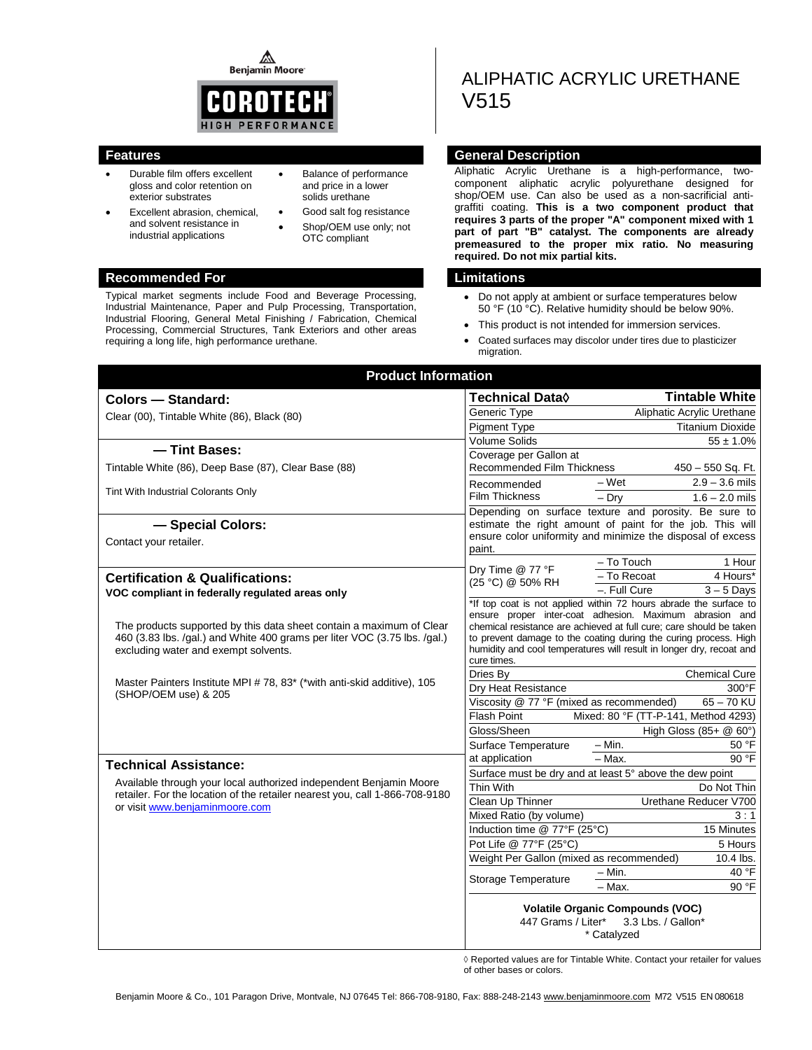⚠ **Benjamin Moore** 



- Durable film offers excellent gloss and color retention on exterior substrates
- Excellent abrasion, chemical, and solvent resistance in industrial applications
- Balance of performance and price in a lower solids urethane
- Good salt fog resistance Shop/OEM use only; not OTC compliant

#### **Recommended For Limitations**

Typical market segments include Food and Beverage Processing, Industrial Maintenance, Paper and Pulp Processing, Transportation, Industrial Flooring, General Metal Finishing / Fabrication, Chemical Processing, Commercial Structures, Tank Exteriors and other areas requiring a long life, high performance urethane.

# ALIPHATIC ACRYLIC URETHANE V515

### **Features General Description**

Aliphatic Acrylic Urethane is a high-performance, twocomponent aliphatic acrylic polyurethane designed for shop/OEM use. Can also be used as a non-sacrificial antigraffiti coating. **This is a two component product that requires 3 parts of the proper "A" component mixed with 1 part of part "B" catalyst. The components are already premeasured to the proper mix ratio. No measuring required. Do not mix partial kits.**

- Do not apply at ambient or surface temperatures below 50 °F (10 °C). Relative humidity should be below 90%.
- This product is not intended for immersion services.
- Coated surfaces may discolor under tires due to plasticizer migration.

| <b>Product Information</b>                                                                                                                        |                                                         |                                                                                                                                         |  |
|---------------------------------------------------------------------------------------------------------------------------------------------------|---------------------------------------------------------|-----------------------------------------------------------------------------------------------------------------------------------------|--|
| <b>Colors - Standard:</b>                                                                                                                         | <b>Technical Data</b> ♦                                 | <b>Tintable White</b>                                                                                                                   |  |
| Clear (00), Tintable White (86), Black (80)                                                                                                       | Generic Type                                            | Aliphatic Acrylic Urethane                                                                                                              |  |
|                                                                                                                                                   | <b>Pigment Type</b>                                     | <b>Titanium Dioxide</b>                                                                                                                 |  |
| - Tint Bases:                                                                                                                                     | Volume Solids                                           | $55 \pm 1.0\%$                                                                                                                          |  |
|                                                                                                                                                   | Coverage per Gallon at                                  |                                                                                                                                         |  |
| Tintable White (86), Deep Base (87), Clear Base (88)                                                                                              | Recommended Film Thickness                              | 450 - 550 Sq. Ft.                                                                                                                       |  |
| Tint With Industrial Colorants Only                                                                                                               | Recommended                                             | $2.9 - 3.6$ mils<br>$-Wet$                                                                                                              |  |
|                                                                                                                                                   | <b>Film Thickness</b>                                   | $-$ Drv<br>$1.6 - 2.0$ mils                                                                                                             |  |
|                                                                                                                                                   |                                                         | Depending on surface texture and porosity. Be sure to                                                                                   |  |
| - Special Colors:                                                                                                                                 |                                                         | estimate the right amount of paint for the job. This will<br>ensure color uniformity and minimize the disposal of excess                |  |
| Contact your retailer.                                                                                                                            | paint.                                                  |                                                                                                                                         |  |
|                                                                                                                                                   |                                                         | - To Touch<br>1 Hour                                                                                                                    |  |
| <b>Certification &amp; Qualifications:</b>                                                                                                        | Dry Time @ 77 °F                                        | 4 Hours*<br>- To Recoat                                                                                                                 |  |
| VOC compliant in federally regulated areas only                                                                                                   | (25 °C) @ 50% RH                                        | -. Full Cure<br>$3 - 5$ Days                                                                                                            |  |
|                                                                                                                                                   |                                                         | *If top coat is not applied within 72 hours abrade the surface to                                                                       |  |
|                                                                                                                                                   |                                                         | ensure proper inter-coat adhesion. Maximum abrasion and                                                                                 |  |
| The products supported by this data sheet contain a maximum of Clear<br>460 (3.83 lbs. /qal.) and White 400 grams per liter VOC (3.75 lbs. /qal.) |                                                         | chemical resistance are achieved at full cure; care should be taken<br>to prevent damage to the coating during the curing process. High |  |
| excluding water and exempt solvents.                                                                                                              |                                                         | humidity and cool temperatures will result in longer dry, recoat and                                                                    |  |
|                                                                                                                                                   | cure times.                                             |                                                                                                                                         |  |
| Master Painters Institute MPI #78, 83* (*with anti-skid additive), 105<br>(SHOP/OEM use) & 205                                                    | Dries By                                                | <b>Chemical Cure</b>                                                                                                                    |  |
|                                                                                                                                                   | Dry Heat Resistance                                     | 300°F                                                                                                                                   |  |
|                                                                                                                                                   | Viscosity @ 77 °F (mixed as recommended)                | $65 - 70$ KU                                                                                                                            |  |
|                                                                                                                                                   | Flash Point                                             | Mixed: 80 °F (TT-P-141, Method 4293)                                                                                                    |  |
|                                                                                                                                                   | Gloss/Sheen                                             | High Gloss (85+ $@$ 60°)                                                                                                                |  |
|                                                                                                                                                   | Surface Temperature                                     | $- Min.$<br>50 °F                                                                                                                       |  |
| <b>Technical Assistance:</b>                                                                                                                      | at application                                          | 90 °F<br>$-$ Max.                                                                                                                       |  |
| Available through your local authorized independent Benjamin Moore                                                                                | Thin With                                               | Surface must be dry and at least 5° above the dew point                                                                                 |  |
| retailer. For the location of the retailer nearest you, call 1-866-708-9180                                                                       |                                                         | Do Not Thin                                                                                                                             |  |
| or visit www.benjaminmoore.com                                                                                                                    | Clean Up Thinner                                        | Urethane Reducer V700<br>3:1                                                                                                            |  |
|                                                                                                                                                   | Mixed Ratio (by volume)<br>Induction time @ 77°F (25°C) | 15 Minutes                                                                                                                              |  |
|                                                                                                                                                   | Pot Life @ 77°F (25°C)                                  | 5 Hours                                                                                                                                 |  |
|                                                                                                                                                   | Weight Per Gallon (mixed as recommended)                | 10.4 lbs.                                                                                                                               |  |
|                                                                                                                                                   |                                                         | 40 °F<br>$-$ Min.                                                                                                                       |  |
|                                                                                                                                                   | Storage Temperature<br>$-$ Max.                         | 90 °F                                                                                                                                   |  |
|                                                                                                                                                   |                                                         |                                                                                                                                         |  |
|                                                                                                                                                   |                                                         | <b>Volatile Organic Compounds (VOC)</b>                                                                                                 |  |
|                                                                                                                                                   | 447 Grams / Liter*                                      | 3.3 Lbs. / Gallon*                                                                                                                      |  |
|                                                                                                                                                   |                                                         | * Catalyzed                                                                                                                             |  |

 ◊ Reported values are for Tintable White. Contact your retailer for values of other bases or colors.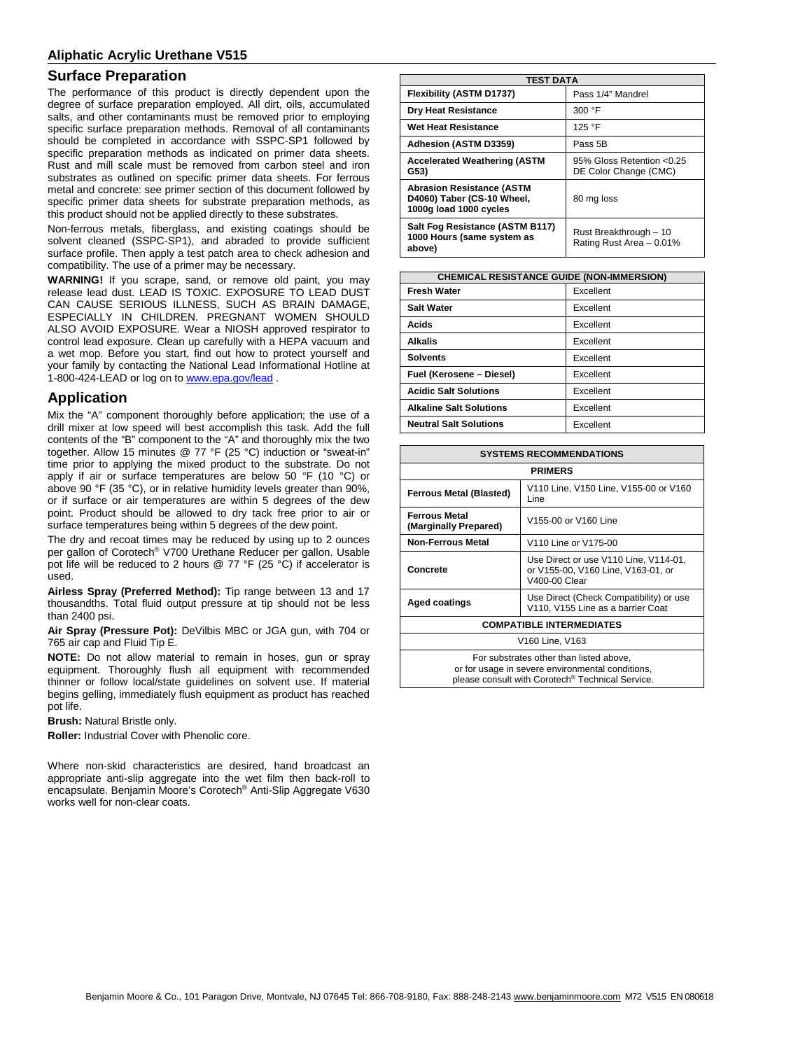## **Surface Preparation**

The performance of this product is directly dependent upon the degree of surface preparation employed. All dirt, oils, accumulated salts, and other contaminants must be removed prior to employing specific surface preparation methods. Removal of all contaminants should be completed in accordance with SSPC-SP1 followed by specific preparation methods as indicated on primer data sheets. Rust and mill scale must be removed from carbon steel and iron substrates as outlined on specific primer data sheets. For ferrous metal and concrete: see primer section of this document followed by specific primer data sheets for substrate preparation methods, as this product should not be applied directly to these substrates.

Non-ferrous metals, fiberglass, and existing coatings should be solvent cleaned (SSPC-SP1), and abraded to provide sufficient surface profile. Then apply a test patch area to check adhesion and compatibility. The use of a primer may be necessary.

**WARNING!** If you scrape, sand, or remove old paint, you may release lead dust. LEAD IS TOXIC. EXPOSURE TO LEAD DUST CAN CAUSE SERIOUS ILLNESS, SUCH AS BRAIN DAMAGE, ESPECIALLY IN CHILDREN. PREGNANT WOMEN SHOULD ALSO AVOID EXPOSURE. Wear a NIOSH approved respirator to control lead exposure. Clean up carefully with a HEPA vacuum and a wet mop. Before you start, find out how to protect yourself and your family by contacting the National Lead Informational Hotline at 1-800-424-LEAD or log on t[o www.epa.gov/lead](http://www.epa.gov/lead).

## **Application**

Mix the "A" component thoroughly before application; the use of a drill mixer at low speed will best accomplish this task. Add the full contents of the "B" component to the "A" and thoroughly mix the two together. Allow 15 minutes @ 77 °F (25 °C) induction or "sweat-in" time prior to applying the mixed product to the substrate. Do not apply if air or surface temperatures are below 50 °F (10 °C) or above 90 °F (35 °C), or in relative humidity levels greater than 90%, or if surface or air temperatures are within 5 degrees of the dew point. Product should be allowed to dry tack free prior to air or surface temperatures being within 5 degrees of the dew point.

The dry and recoat times may be reduced by using up to 2 ounces per gallon of Corotech® V700 Urethane Reducer per gallon. Usable pot life will be reduced to 2 hours @ 77 °F (25 °C) if accelerator is used.

**Airless Spray (Preferred Method):** Tip range between 13 and 17 thousandths. Total fluid output pressure at tip should not be less than 2400 psi.

**Air Spray (Pressure Pot):** DeVilbis MBC or JGA gun, with 704 or 765 air cap and Fluid Tip E.

**NOTE:** Do not allow material to remain in hoses, gun or spray equipment. Thoroughly flush all equipment with recommended thinner or follow local/state guidelines on solvent use. If material begins gelling, immediately flush equipment as product has reached pot life.

**Brush:** Natural Bristle only.

**Roller:** Industrial Cover with Phenolic core.

Where non-skid characteristics are desired, hand broadcast an appropriate anti-slip aggregate into the wet film then back-roll to encapsulate. Benjamin Moore's Corotech® Anti-Slip Aggregate V630 works well for non-clear coats.

| <b>TEST DATA</b>                                                                         |                                                     |  |
|------------------------------------------------------------------------------------------|-----------------------------------------------------|--|
| Flexibility (ASTM D1737)                                                                 | Pass 1/4" Mandrel                                   |  |
| <b>Dry Heat Resistance</b>                                                               | 300 °F                                              |  |
| <b>Wet Heat Resistance</b>                                                               | 125 °F                                              |  |
| Adhesion (ASTM D3359)                                                                    | Pass 5B                                             |  |
| <b>Accelerated Weathering (ASTM</b><br>G53)                                              | 95% Gloss Retention < 0.25<br>DE Color Change (CMC) |  |
| <b>Abrasion Resistance (ASTM</b><br>D4060) Taber (CS-10 Wheel,<br>1000g load 1000 cycles | 80 mg loss                                          |  |
| Salt Fog Resistance (ASTM B117)<br>1000 Hours (same system as<br>above)                  | Rust Breakthrough - 10<br>Rating Rust Area - 0.01%  |  |

| <b>CHEMICAL RESISTANCE GUIDE (NON-IMMERSION)</b> |           |  |
|--------------------------------------------------|-----------|--|
| <b>Fresh Water</b>                               | Excellent |  |
| <b>Salt Water</b>                                | Excellent |  |
| Acids                                            | Excellent |  |
| <b>Alkalis</b>                                   | Excellent |  |
| <b>Solvents</b>                                  | Excellent |  |
| Fuel (Kerosene - Diesel)                         | Excellent |  |
| <b>Acidic Salt Solutions</b>                     | Excellent |  |
| <b>Alkaline Salt Solutions</b>                   | Excellent |  |
| <b>Neutral Salt Solutions</b>                    | Excellent |  |

| <b>SYSTEMS RECOMMENDATIONS</b>                                                                                                                  |                                                                                              |  |
|-------------------------------------------------------------------------------------------------------------------------------------------------|----------------------------------------------------------------------------------------------|--|
| <b>PRIMERS</b>                                                                                                                                  |                                                                                              |  |
| <b>Ferrous Metal (Blasted)</b>                                                                                                                  | V110 Line, V150 Line, V155-00 or V160<br>Line                                                |  |
| <b>Ferrous Metal</b><br>(Marginally Prepared)                                                                                                   | V155-00 or V160 Line                                                                         |  |
| <b>Non-Ferrous Metal</b>                                                                                                                        | V110 Line or V175-00                                                                         |  |
| Concrete                                                                                                                                        | Use Direct or use V110 Line, V114-01,<br>or V155-00, V160 Line, V163-01, or<br>V400-00 Clear |  |
| Aged coatings                                                                                                                                   | Use Direct (Check Compatibility) or use<br>V110, V155 Line as a barrier Coat                 |  |
| <b>COMPATIBLE INTERMEDIATES</b>                                                                                                                 |                                                                                              |  |
| V <sub>160</sub> Line, V <sub>163</sub>                                                                                                         |                                                                                              |  |
| For substrates other than listed above,<br>or for usage in severe environmental conditions,<br>please consult with Corotech® Technical Service. |                                                                                              |  |